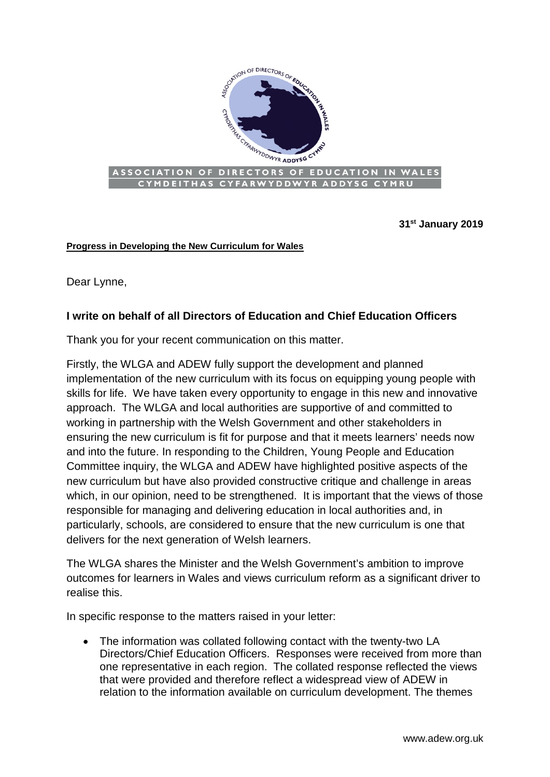

**31st January 2019**

## **Progress in Developing the New Curriculum for Wales**

Dear Lynne,

## **I write on behalf of all Directors of Education and Chief Education Officers**

Thank you for your recent communication on this matter.

Firstly, the WLGA and ADEW fully support the development and planned implementation of the new curriculum with its focus on equipping young people with skills for life. We have taken every opportunity to engage in this new and innovative approach. The WLGA and local authorities are supportive of and committed to working in partnership with the Welsh Government and other stakeholders in ensuring the new curriculum is fit for purpose and that it meets learners' needs now and into the future. In responding to the Children, Young People and Education Committee inquiry, the WLGA and ADEW have highlighted positive aspects of the new curriculum but have also provided constructive critique and challenge in areas which, in our opinion, need to be strengthened. It is important that the views of those responsible for managing and delivering education in local authorities and, in particularly, schools, are considered to ensure that the new curriculum is one that delivers for the next generation of Welsh learners.

The WLGA shares the Minister and the Welsh Government's ambition to improve outcomes for learners in Wales and views curriculum reform as a significant driver to realise this.

In specific response to the matters raised in your letter:

• The information was collated following contact with the twenty-two LA Directors/Chief Education Officers. Responses were received from more than one representative in each region. The collated response reflected the views that were provided and therefore reflect a widespread view of ADEW in relation to the information available on curriculum development. The themes